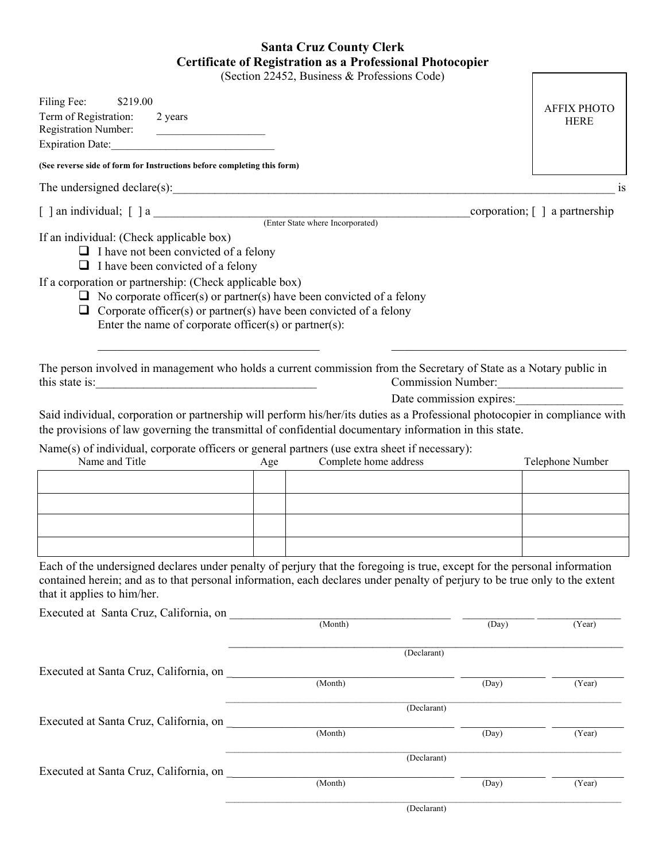## **Santa Cruz County Clerk Certificate of Registration as a Professional Photocopier**

(Section 22452, Business & Professions Code)

|                                                                                                                                                                                                                                                                                                                                                                                                                                                                                                                                                     |             | (Section 22452, Business & Professions Code) |                                                |                                                  |
|-----------------------------------------------------------------------------------------------------------------------------------------------------------------------------------------------------------------------------------------------------------------------------------------------------------------------------------------------------------------------------------------------------------------------------------------------------------------------------------------------------------------------------------------------------|-------------|----------------------------------------------|------------------------------------------------|--------------------------------------------------|
| Filing Fee:<br>\$219.00<br>Term of Registration:<br>2 years<br><b>Registration Number:</b><br><u> 1989 - Andrea Barbara, política española</u><br>Expiration Date:                                                                                                                                                                                                                                                                                                                                                                                  |             |                                              |                                                | <b>AFFIX PHOTO</b><br><b>HERE</b>                |
| (See reverse side of form for Instructions before completing this form)                                                                                                                                                                                                                                                                                                                                                                                                                                                                             |             |                                              |                                                |                                                  |
|                                                                                                                                                                                                                                                                                                                                                                                                                                                                                                                                                     |             |                                              |                                                | <b>1S</b>                                        |
|                                                                                                                                                                                                                                                                                                                                                                                                                                                                                                                                                     |             |                                              |                                                | corporation; $\lceil \cdot \rceil$ a partnership |
| If an individual: (Check applicable box)<br>$\Box$ I have not been convicted of a felony<br>$\Box$ I have been convicted of a felony<br>If a corporation or partnership: (Check applicable box)<br>$\Box$ No corporate officer(s) or partner(s) have been convicted of a felony<br>$\Box$ Corporate officer(s) or partner(s) have been convicted of a felony<br>Enter the name of corporate officer(s) or partner(s):                                                                                                                               |             |                                              |                                                |                                                  |
| The person involved in management who holds a current commission from the Secretary of State as a Notary public in<br>this state is: $\frac{1}{2}$ is $\frac{1}{2}$ is $\frac{1}{2}$ is $\frac{1}{2}$ is $\frac{1}{2}$ is $\frac{1}{2}$ is $\frac{1}{2}$ is $\frac{1}{2}$ is $\frac{1}{2}$ is $\frac{1}{2}$ is $\frac{1}{2}$ is $\frac{1}{2}$ is $\frac{1}{2}$ is $\frac{1}{2}$ is $\frac{1}{2}$ is $\frac{1}{2}$ i<br>Said individual, corporation or partnership will perform his/her/its duties as a Professional photocopier in compliance with |             |                                              | Commission Number:<br>Date commission expires: |                                                  |
| the provisions of law governing the transmittal of confidential documentary information in this state.                                                                                                                                                                                                                                                                                                                                                                                                                                              |             |                                              |                                                |                                                  |
| Name(s) of individual, corporate officers or general partners (use extra sheet if necessary):<br>Name and Title                                                                                                                                                                                                                                                                                                                                                                                                                                     | Age         | Complete home address                        |                                                | Telephone Number                                 |
|                                                                                                                                                                                                                                                                                                                                                                                                                                                                                                                                                     |             |                                              |                                                |                                                  |
|                                                                                                                                                                                                                                                                                                                                                                                                                                                                                                                                                     |             |                                              |                                                |                                                  |
|                                                                                                                                                                                                                                                                                                                                                                                                                                                                                                                                                     |             |                                              |                                                |                                                  |
|                                                                                                                                                                                                                                                                                                                                                                                                                                                                                                                                                     |             |                                              |                                                |                                                  |
| Each of the undersigned declares under penalty of perjury that the foregoing is true, except for the personal information<br>contained herein; and as to that personal information, each declares under penalty of perjury to be true only to the extent<br>that it applies to him/her.                                                                                                                                                                                                                                                             |             |                                              |                                                |                                                  |
|                                                                                                                                                                                                                                                                                                                                                                                                                                                                                                                                                     |             |                                              | (Day)                                          | (Year)                                           |
|                                                                                                                                                                                                                                                                                                                                                                                                                                                                                                                                                     |             |                                              | (Declarant)                                    |                                                  |
| Executed at Santa Cruz, California, on                                                                                                                                                                                                                                                                                                                                                                                                                                                                                                              |             |                                              |                                                |                                                  |
|                                                                                                                                                                                                                                                                                                                                                                                                                                                                                                                                                     |             | (Month)                                      | (Day)                                          | (Year)                                           |
|                                                                                                                                                                                                                                                                                                                                                                                                                                                                                                                                                     | (Declarant) |                                              |                                                |                                                  |
| Executed at Santa Cruz, California, on                                                                                                                                                                                                                                                                                                                                                                                                                                                                                                              |             | (Month)<br>(Day)                             |                                                | (Year)                                           |
|                                                                                                                                                                                                                                                                                                                                                                                                                                                                                                                                                     |             | (Declarant)                                  |                                                |                                                  |
| Executed at Santa Cruz, California, on                                                                                                                                                                                                                                                                                                                                                                                                                                                                                                              |             | (Month)                                      | (Day)                                          | (Year)                                           |
|                                                                                                                                                                                                                                                                                                                                                                                                                                                                                                                                                     |             |                                              | (Declarant)                                    |                                                  |